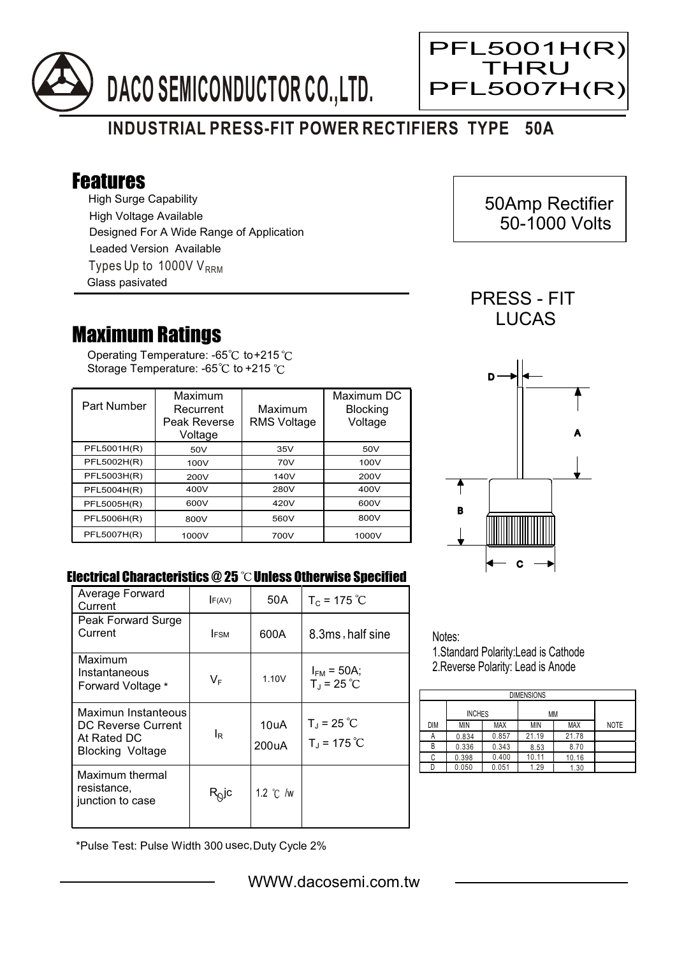

## **INDUSTRIAL PRESS-FIT POWER RECTIFIERS TYPE 50A**

## Features

High Surge Capability Types Up to 1000V  $V_{RRM}$ High Voltage Available Designed For A Wide Range of Application Leaded Version Available Glass pasivated

## Maximum Ratings

Operating Temperature: -65 $^\circ\!{\rm C}$  to+215 Storage Temperature: -65 $\degree$ C to +215  $\degree$ C

| Part Number | Maximum<br>Recurrent<br>Peak Reverse<br>Voltage | Maximum<br><b>RMS Voltage</b> | Maximum DC<br><b>Blocking</b><br>Voltage |
|-------------|-------------------------------------------------|-------------------------------|------------------------------------------|
| PFL5001H(R) | 50V                                             | 35V                           | 50V                                      |
| PFL5002H(R) | 100V                                            | 70V                           | 100V                                     |
| PFL5003H(R) | 200V                                            | 140V                          | 200V                                     |
| PFL5004H(R) | 400V                                            | 280V                          | 400V                                     |
| PFL5005H(R) | 600V                                            | 420V                          | 600V                                     |
| PFL5006H(R) | 800V                                            | 560V                          | 800V                                     |
| PFL5007H(R) | 1000V                                           | 700V                          | 1000V                                    |



## Electrical Characteristics @ 25 °C Unless Otherwise Specified

| Average Forward<br>Current                                                          | F(AV)            | 50 A               | $T_c = 175 °C$                              |
|-------------------------------------------------------------------------------------|------------------|--------------------|---------------------------------------------|
| Peak Forward Surge<br>Current                                                       | <b>IFSM</b>      | 600A               | 8.3ms, half sine                            |
| Maximum<br>Instantaneous<br>Forward Voltage *                                       | $V_{\mathsf{F}}$ | 1.10V              | $I_{FM}$ = 50A;<br>$T_{J}$ = 25 °C          |
| Maximun Instanteous<br>DC Reverse Current<br>At Rated DC<br><b>Blocking Voltage</b> | le               | 10uA<br>200uA      | $T_{\rm J}$ = 25 °C<br>$T_{\rm J}$ = 175 °C |
| Maximum thermal<br>resistance.<br>junction to case                                  | $R_Q$ jc         | 1.2 $\degree$ C /w |                                             |

Notes:

1.Standard Polarity:Lead is Cathode 2.Reverse Polarity: Lead is Anode

| <b>DIMENSIONS</b> |               |            |       |            |             |  |  |  |
|-------------------|---------------|------------|-------|------------|-------------|--|--|--|
|                   | <b>INCHES</b> |            | МM    |            |             |  |  |  |
| <b>DIM</b>        | MIN           | <b>MAX</b> | ΜIΝ   | <b>MAX</b> | <b>NOTE</b> |  |  |  |
| А                 | 0.834         | 0.857      | 21.19 | 21.78      |             |  |  |  |
| В                 | 0.336         | 0.343      | 8.53  | 8.70       |             |  |  |  |
| С                 | 0.398         | 0.400      | 10.11 | 10.16      |             |  |  |  |
|                   | 0.050         | 0.051      | 1.29  | 1.30       |             |  |  |  |

\*Pulse Test: Pulse Width 300 usec,Duty Cycle 2%

 50Amp Rectifier 50-1000 Volts

PRESS - FIT **LUCAS** 

PFL5001H(R) **THRU** 

PFL5007H(R)

Ξ